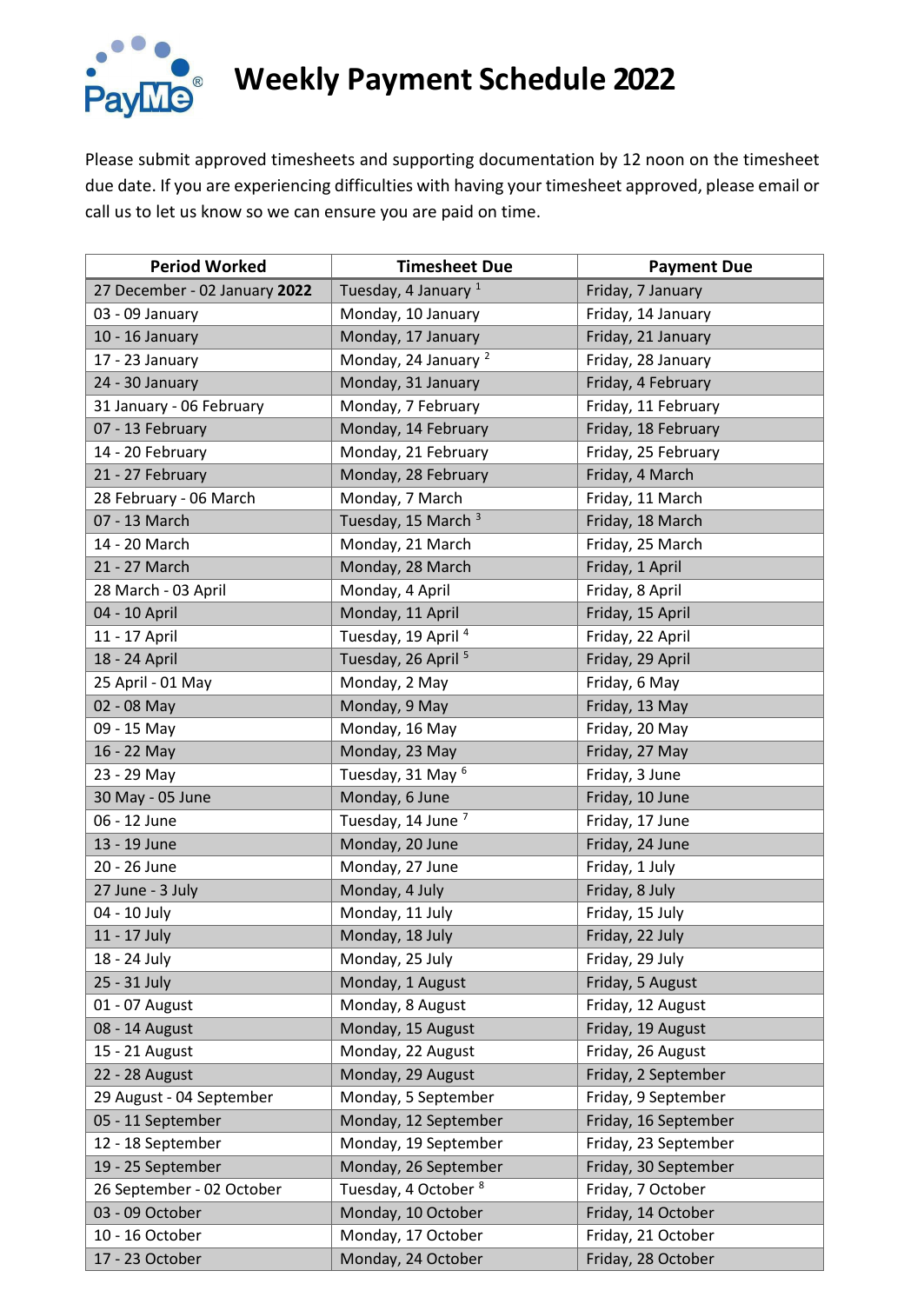

## **Weekly Payment Schedule 2022**

Please submit approved timesheets and supporting documentation by 12 noon on the timesheet due date. If you are experiencing difficulties with having your timesheet approved, please email or call us to let us know so we can ensure you are paid on time.

| <b>Period Worked</b>          | <b>Timesheet Due</b>            | <b>Payment Due</b>   |
|-------------------------------|---------------------------------|----------------------|
| 27 December - 02 January 2022 | Tuesday, 4 January <sup>1</sup> | Friday, 7 January    |
| 03 - 09 January               | Monday, 10 January              | Friday, 14 January   |
| 10 - 16 January               | Monday, 17 January              | Friday, 21 January   |
| 17 - 23 January               | Monday, 24 January <sup>2</sup> | Friday, 28 January   |
| 24 - 30 January               | Monday, 31 January              | Friday, 4 February   |
| 31 January - 06 February      | Monday, 7 February              | Friday, 11 February  |
| 07 - 13 February              | Monday, 14 February             | Friday, 18 February  |
| 14 - 20 February              | Monday, 21 February             | Friday, 25 February  |
| 21 - 27 February              | Monday, 28 February             | Friday, 4 March      |
| 28 February - 06 March        | Monday, 7 March                 | Friday, 11 March     |
| 07 - 13 March                 | Tuesday, 15 March <sup>3</sup>  | Friday, 18 March     |
| 14 - 20 March                 | Monday, 21 March                | Friday, 25 March     |
| 21 - 27 March                 | Monday, 28 March                | Friday, 1 April      |
| 28 March - 03 April           | Monday, 4 April                 | Friday, 8 April      |
| 04 - 10 April                 | Monday, 11 April                | Friday, 15 April     |
| 11 - 17 April                 | Tuesday, 19 April <sup>4</sup>  | Friday, 22 April     |
| 18 - 24 April                 | Tuesday, 26 April <sup>5</sup>  | Friday, 29 April     |
| 25 April - 01 May             | Monday, 2 May                   | Friday, 6 May        |
| 02 - 08 May                   | Monday, 9 May                   | Friday, 13 May       |
| 09 - 15 May                   | Monday, 16 May                  | Friday, 20 May       |
| 16 - 22 May                   | Monday, 23 May                  | Friday, 27 May       |
| 23 - 29 May                   | Tuesday, 31 May <sup>6</sup>    | Friday, 3 June       |
| 30 May - 05 June              | Monday, 6 June                  | Friday, 10 June      |
| 06 - 12 June                  | Tuesday, 14 June <sup>7</sup>   | Friday, 17 June      |
| 13 - 19 June                  | Monday, 20 June                 | Friday, 24 June      |
| 20 - 26 June                  | Monday, 27 June                 | Friday, 1 July       |
| 27 June - 3 July              | Monday, 4 July                  | Friday, 8 July       |
| 04 - 10 July                  | Monday, 11 July                 | Friday, 15 July      |
| 11 - 17 July                  | Monday, 18 July                 | Friday, 22 July      |
| 18 - 24 July                  | Monday, 25 July                 | Friday, 29 July      |
| 25 - 31 July                  | Monday, 1 August                | Friday, 5 August     |
| 01 - 07 August                | Monday, 8 August                | Friday, 12 August    |
| 08 - 14 August                | Monday, 15 August               | Friday, 19 August    |
| 15 - 21 August                | Monday, 22 August               | Friday, 26 August    |
| 22 - 28 August                | Monday, 29 August               | Friday, 2 September  |
| 29 August - 04 September      | Monday, 5 September             | Friday, 9 September  |
| 05 - 11 September             | Monday, 12 September            | Friday, 16 September |
| 12 - 18 September             | Monday, 19 September            | Friday, 23 September |
| 19 - 25 September             | Monday, 26 September            | Friday, 30 September |
| 26 September - 02 October     | Tuesday, 4 October 8            | Friday, 7 October    |
| 03 - 09 October               | Monday, 10 October              | Friday, 14 October   |
| 10 - 16 October               | Monday, 17 October              | Friday, 21 October   |
| 17 - 23 October               | Monday, 24 October              | Friday, 28 October   |